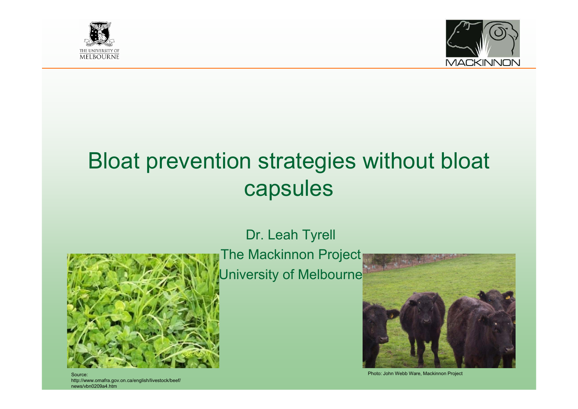



# Bloat prevention strategies without bloat capsules

## Dr. Leah Tyrell



The Mackinnon Project University of Melbourne



Source: Photo: John Webb Ware, Mackinnon Project

http://www.omafra.gov.on.ca/english/livestock/beef/ news/vbn0209a4.htm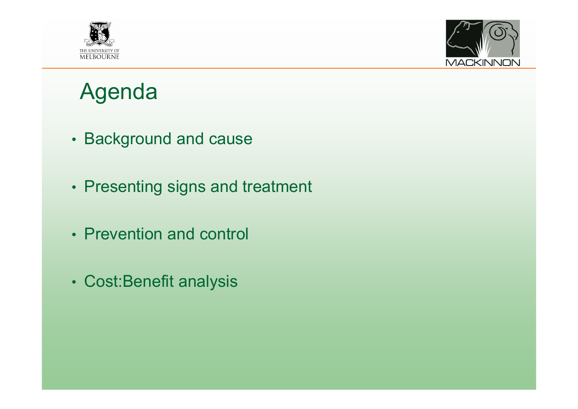



# Agenda

- Background and cause
- Presenting signs and treatment
- Prevention and control
- Cost:Benefit analysis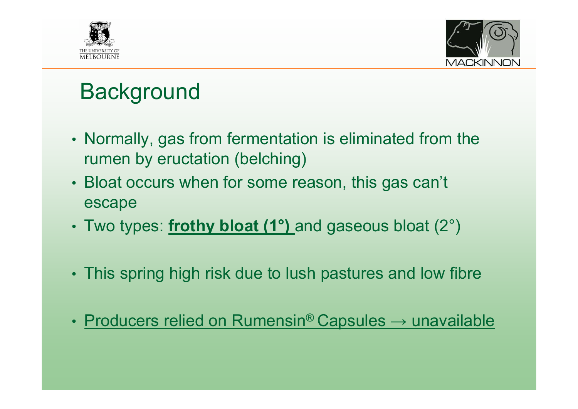



# **Background**

- Normally, gas from fermentation is eliminated from the rumen by eructation (belching)
- Bloat occurs when for some reason, this gas can't escape
- Two types: **frothy bloat (1°)** and gaseous bloat (2°)
- This spring high risk due to lush pastures and low fibre
- •• Producers relied on Rumensin® Capsules → unavailable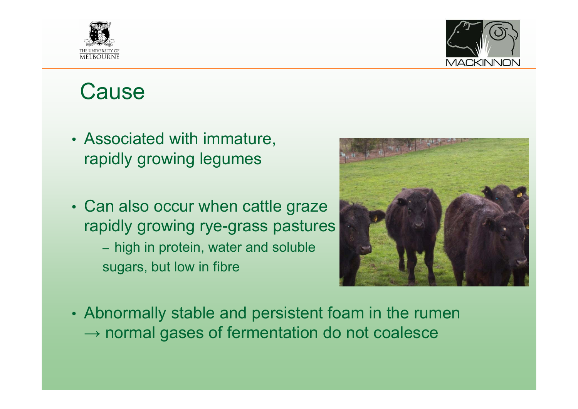



#### **Cause**

- Associated with immature, rapidly growing legumes
- Can also occur when cattle graze rapidly growing rye-grass pastures – high in protein, water and soluble sugars, but low in fibre



• Abnormally stable and persistent foam in the rumen  $\rightarrow$  normal gases of fermentation do not coalesce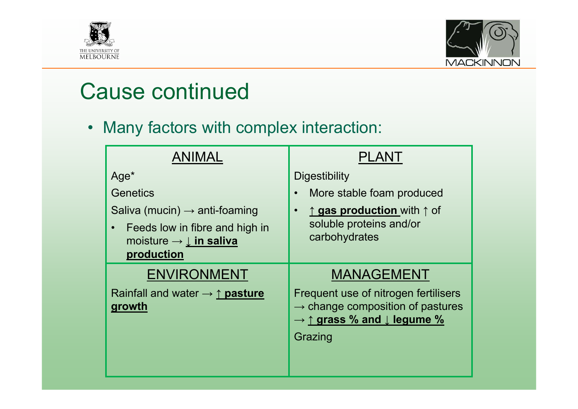



### Cause continued

• Many factors with complex interaction:

| <b>ANIMAL</b>                                                                                                                                    | PLANT                                                                                                                                                       |
|--------------------------------------------------------------------------------------------------------------------------------------------------|-------------------------------------------------------------------------------------------------------------------------------------------------------------|
| Age <sup>*</sup>                                                                                                                                 | <b>Digestibility</b>                                                                                                                                        |
| Genetics                                                                                                                                         | More stable foam produced<br>$\bullet$                                                                                                                      |
| Saliva (mucin) $\rightarrow$ anti-foaming<br>Feeds low in fibre and high in<br>$\bullet$<br>moisture $\rightarrow \perp$ in saliva<br>production | $\uparrow$ gas production with $\uparrow$ of<br>$\bullet$<br>soluble proteins and/or<br>carbohydrates                                                       |
| <b>ENVIRONMENT</b>                                                                                                                               | <b>MANAGEMENT</b>                                                                                                                                           |
| Rainfall and water $\rightarrow \uparrow$ pasture<br>growth                                                                                      | Frequent use of nitrogen fertilisers<br>$\rightarrow$ change composition of pastures<br>$\rightarrow \uparrow$ grass % and $\downarrow$ legume %<br>Grazing |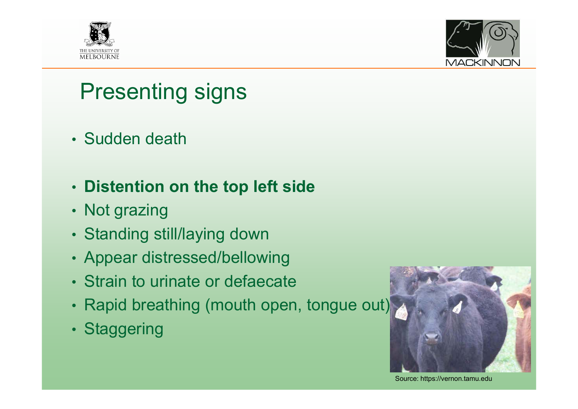



# Presenting signs

- Sudden death
- **Distention on the top left side**
- Not grazing
- Standing still/laying down
- Appear distressed/bellowing
- Strain to urinate or defaecate
- Rapid breathing (mouth open, tongue out)
- Staggering



Source: https://vernon.tamu.edu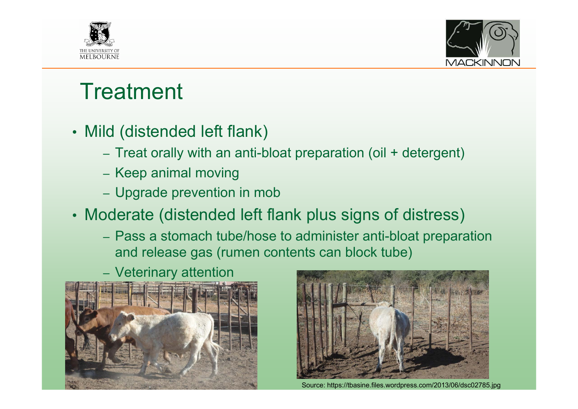



## **Treatment**

- Mild (distended left flank)
	- Treat orally with an anti-bloat preparation (oil + detergent)
	- Keep animal moving
	- Upgrade prevention in mob
- Moderate (distended left flank plus signs of distress)
	- Pass a stomach tube/hose to administer anti-bloat preparation and release gas (rumen contents can block tube)
	- Veterinary attention





Source: https://tbasine.files.wordpress.com/2013/06/dsc02785.jpg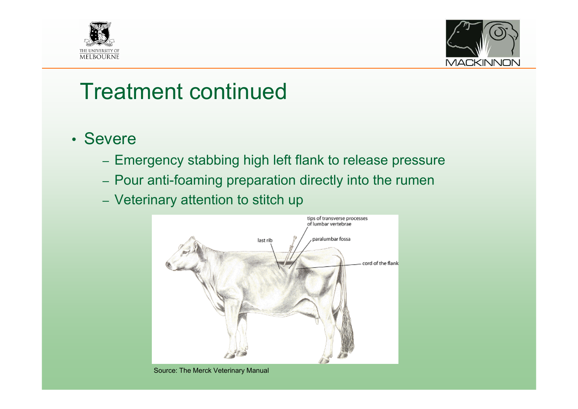



#### Treatment continued

- Severe
	- Emergency stabbing high left flank to release pressure
	- Pour anti-foaming preparation directly into the rumen
	- Veterinary attention to stitch up



Source: The Merck Veterinary Manual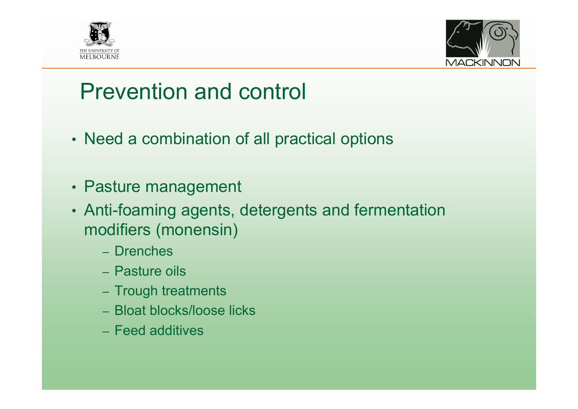



### Prevention and control

- Need a combination of all practical options
- Pasture management
- Anti-foaming agents, detergents and fermentation modifiers (monensin)
	- Drenches
	- Pasture oils
	- Trough treatments
	- Bloat blocks/loose licks
	- Feed additives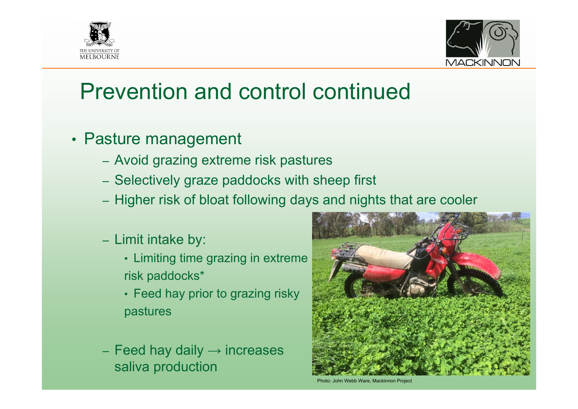



- Pasture management
	- Avoid grazing extreme risk pastures
	- Selectively graze paddocks with sheep first
	- Higher risk of bloat following days and nights that are cooler
	- Limit intake by:
		- Limiting time grazing in extreme risk paddocks\*
		- Feed hay prior to grazing risky pastures
	- Feed hay daily  $\rightarrow$  increases saliva production



Photo: John Webb Ware, Mackinnon Project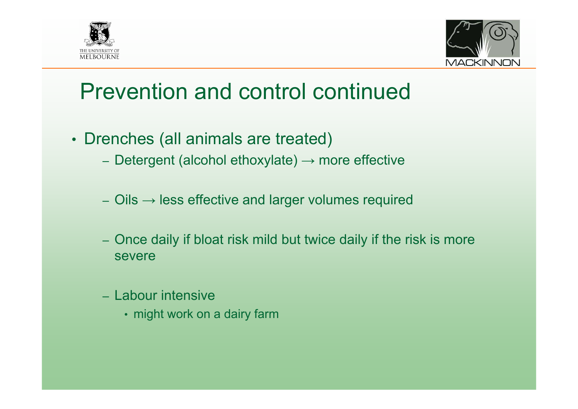



- Drenches (all animals are treated)
	- Detergent (alcohol ethoxylate)  $\rightarrow$  more effective
	- Oils  $\rightarrow$  less effective and larger volumes required
	- Once daily if bloat risk mild but twice daily if the risk is more severe
	- Labour intensive
		- might work on a dairy farm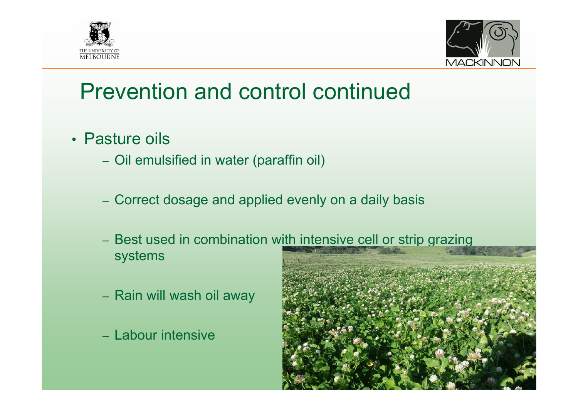



- Pasture oils
	- Oil emulsified in water (paraffin oil)
	- Correct dosage and applied evenly on a daily basis
	- Best used in combination with intensive cell or strip grazing systems
	- Rain will wash oil away
	- Labour intensive

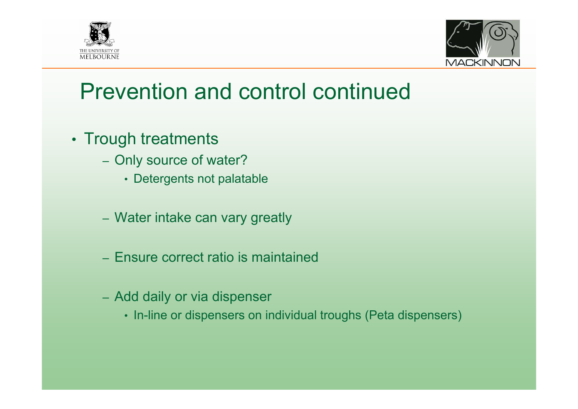



- Trough treatments
	- Only source of water?
		- Detergents not palatable
	- Water intake can vary greatly
	- Ensure correct ratio is maintained
	- Add daily or via dispenser
		- In-line or dispensers on individual troughs (Peta dispensers)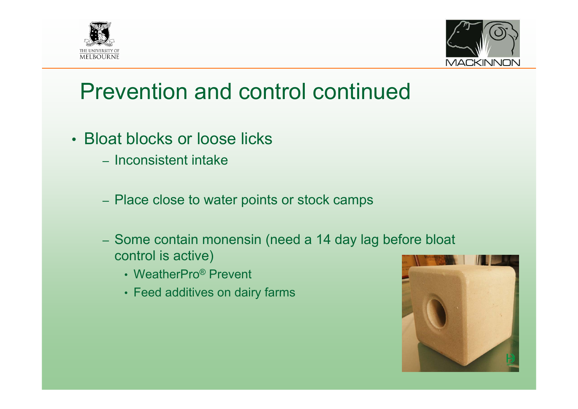



- Bloat blocks or loose licks
	- Inconsistent intake
	- Place close to water points or stock camps
	- Some contain monensin (need a 14 day lag before bloat control is active)
		- WeatherPro® Prevent
		- Feed additives on dairy farms

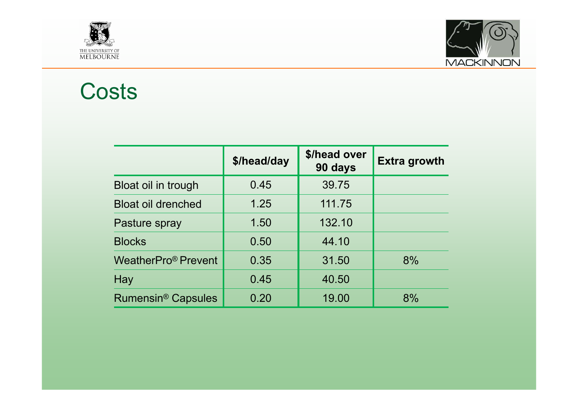



#### Costs

|                                 | \$/head/day | \$/head over<br>90 days | <b>Extra growth</b> |
|---------------------------------|-------------|-------------------------|---------------------|
| Bloat oil in trough             | 0.45        | 39.75                   |                     |
| <b>Bloat oil drenched</b>       | 1.25        | 111.75                  |                     |
| Pasture spray                   | 1.50        | 132.10                  |                     |
| <b>Blocks</b>                   | 0.50        | 44.10                   |                     |
| WeatherPro <sup>®</sup> Prevent | 0.35        | 31.50                   | 8%                  |
| Hay                             | 0.45        | 40.50                   |                     |
| Rumensin <sup>®</sup> Capsules  | 0.20        | 19.00                   | 8%                  |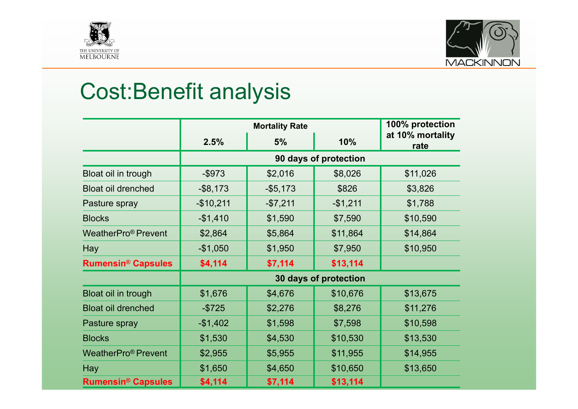



# Cost:Benefit analysis

|                                      | <b>Mortality Rate</b> |             |           | 100% protection          |
|--------------------------------------|-----------------------|-------------|-----------|--------------------------|
|                                      | 2.5%                  | 5%          | 10%       | at 10% mortality<br>rate |
|                                      | 90 days of protection |             |           |                          |
| Bloat oil in trough                  | $-$ \$973             | \$2,016     | \$8,026   | \$11,026                 |
| <b>Bloat oil drenched</b>            | $-$ \$8,173           | $-$ \$5,173 | \$826     | \$3,826                  |
| Pasture spray                        | $-$10,211$            | $-$7,211$   | $-$1,211$ | \$1,788                  |
| <b>Blocks</b>                        | $-$1,410$             | \$1,590     | \$7,590   | \$10,590                 |
| WeatherPro <sup>®</sup> Prevent      | \$2,864               | \$5,864     | \$11,864  | \$14,864                 |
| Hay                                  | $-$1,050$             | \$1,950     | \$7,950   | \$10,950                 |
| <b>Rumensin<sup>®</sup> Capsules</b> | \$4,114               | \$7,114     | \$13,114  |                          |
|                                      | 30 days of protection |             |           |                          |
| Bloat oil in trough                  | \$1,676               | \$4,676     | \$10,676  | \$13,675                 |
| <b>Bloat oil drenched</b>            | $-$ \$725             | \$2,276     | \$8,276   | \$11,276                 |
| Pasture spray                        | $-$1,402$             | \$1,598     | \$7,598   | \$10,598                 |
| <b>Blocks</b>                        | \$1,530               | \$4,530     | \$10,530  | \$13,530                 |
| WeatherPro <sup>®</sup> Prevent      | \$2,955               | \$5,955     | \$11,955  | \$14,955                 |
| Hay                                  | \$1,650               | \$4,650     | \$10,650  | \$13,650                 |
| <b>Rumensin<sup>®</sup> Capsules</b> | \$4,114               | \$7,114     | \$13,114  |                          |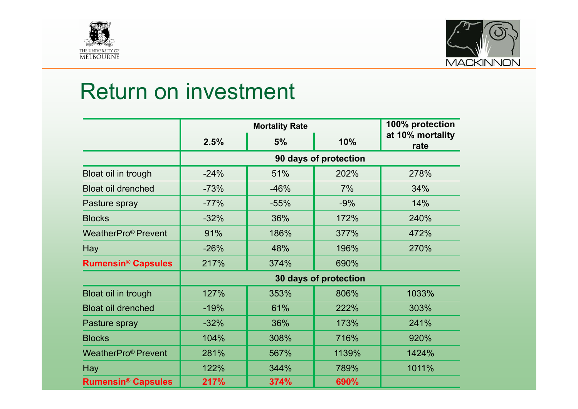



### Return on investment

|                                      | <b>Mortality Rate</b> |        |       | 100% protection          |
|--------------------------------------|-----------------------|--------|-------|--------------------------|
|                                      | 2.5%                  | 5%     | 10%   | at 10% mortality<br>rate |
|                                      | 90 days of protection |        |       |                          |
| Bloat oil in trough                  | $-24%$                | 51%    | 202%  | 278%                     |
| <b>Bloat oil drenched</b>            | $-73%$                | $-46%$ | 7%    | 34%                      |
| Pasture spray                        | $-77%$                | $-55%$ | $-9%$ | 14%                      |
| <b>Blocks</b>                        | $-32%$                | 36%    | 172%  | 240%                     |
| WeatherPro <sup>®</sup> Prevent      | 91%                   | 186%   | 377%  | 472%                     |
| Hay                                  | $-26%$                | 48%    | 196%  | 270%                     |
| <b>Rumensin<sup>®</sup> Capsules</b> | 217%                  | 374%   | 690%  |                          |
|                                      | 30 days of protection |        |       |                          |
| Bloat oil in trough                  | 127%                  | 353%   | 806%  | 1033%                    |
| <b>Bloat oil drenched</b>            | $-19%$                | 61%    | 222%  | 303%                     |
| Pasture spray                        | $-32%$                | 36%    | 173%  | 241%                     |
| <b>Blocks</b>                        | 104%                  | 308%   | 716%  | 920%                     |
| WeatherPro <sup>®</sup> Prevent      | 281%                  | 567%   | 1139% | 1424%                    |
| Hay                                  | 122%                  | 344%   | 789%  | 1011%                    |
| <b>Rumensin<sup>®</sup> Capsules</b> | 217%                  | 374%   | 690%  |                          |